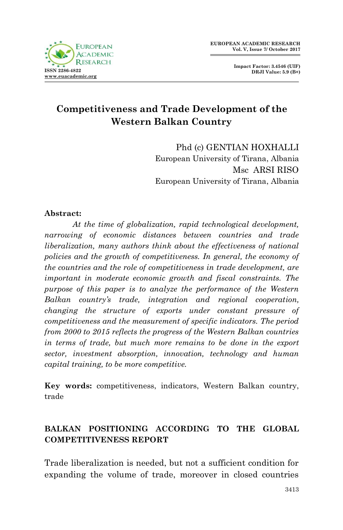

**Impact Factor: 3.4546 (UIF) DRJI Value: 5.9 (B+)**

# **Competitiveness and Trade Development of the Western Balkan Country**

Phd (c) GENTIAN HOXHALLI European University of Tirana, Albania Msc ARSI RISO European University of Tirana, Albania

### **Abstract:**

*At the time of globalization, rapid technological development, narrowing of economic distances between countries and trade liberalization, many authors think about the effectiveness of national policies and the growth of competitiveness. In general, the economy of the countries and the role of competitiveness in trade development, are important in moderate economic growth and fiscal constraints. The purpose of this paper is to analyze the performance of the Western Balkan country's trade, integration and regional cooperation, changing the structure of exports under constant pressure of competitiveness and the measurement of specific indicators. The period from 2000 to 2015 reflects the progress of the Western Balkan countries in terms of trade, but much more remains to be done in the export sector, investment absorption, innovation, technology and human capital training, to be more competitive.*

**Key words:** competitiveness, indicators, Western Balkan country, trade

## **BALKAN POSITIONING ACCORDING TO THE GLOBAL COMPETITIVENESS REPORT**

Trade liberalization is needed, but not a sufficient condition for expanding the volume of trade, moreover in closed countries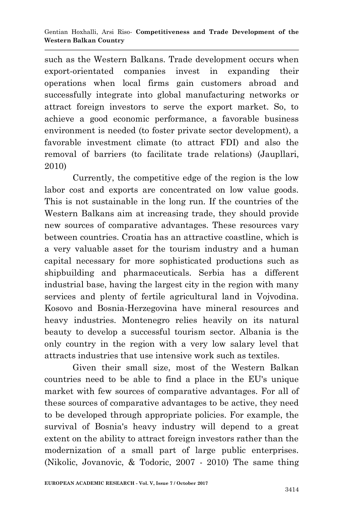such as the Western Balkans. Trade development occurs when export-orientated companies invest in expanding their operations when local firms gain customers abroad and successfully integrate into global manufacturing networks or attract foreign investors to serve the export market. So, to achieve a good economic performance, a favorable business environment is needed (to foster private sector development), a favorable investment climate (to attract FDI) and also the removal of barriers (to facilitate trade relations) (Jaupllari, 2010)

Currently, the competitive edge of the region is the low labor cost and exports are concentrated on low value goods. This is not sustainable in the long run. If the countries of the Western Balkans aim at increasing trade, they should provide new sources of comparative advantages. These resources vary between countries. Croatia has an attractive coastline, which is a very valuable asset for the tourism industry and a human capital necessary for more sophisticated productions such as shipbuilding and pharmaceuticals. Serbia has a different industrial base, having the largest city in the region with many services and plenty of fertile agricultural land in Vojvodina. Kosovo and Bosnia-Herzegovina have mineral resources and heavy industries. Montenegro relies heavily on its natural beauty to develop a successful tourism sector. Albania is the only country in the region with a very low salary level that attracts industries that use intensive work such as textiles.

Given their small size, most of the Western Balkan countries need to be able to find a place in the EU's unique market with few sources of comparative advantages. For all of these sources of comparative advantages to be active, they need to be developed through appropriate policies. For example, the survival of Bosnia's heavy industry will depend to a great extent on the ability to attract foreign investors rather than the modernization of a small part of large public enterprises. (Nikolic, Jovanovic, & Todoric, 2007 - 2010) The same thing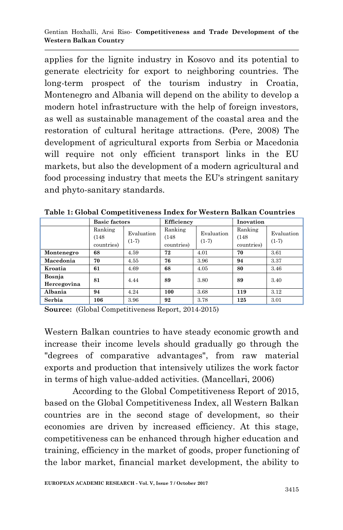applies for the lignite industry in Kosovo and its potential to generate electricity for export to neighboring countries. The long-term prospect of the tourism industry in Croatia, Montenegro and Albania will depend on the ability to develop a modern hotel infrastructure with the help of foreign investors, as well as sustainable management of the coastal area and the restoration of cultural heritage attractions. (Pere, 2008) The development of agricultural exports from Serbia or Macedonia will require not only efficient transport links in the EU markets, but also the development of a modern agricultural and food processing industry that meets the EU's stringent sanitary and phyto-sanitary standards.

|                       | <b>Basic factors</b>           |                       | Efficiency                     |                       | Inovation                      |                       |
|-----------------------|--------------------------------|-----------------------|--------------------------------|-----------------------|--------------------------------|-----------------------|
|                       | Ranking<br>(148)<br>countries) | Evaluation<br>$(1-7)$ | Ranking<br>(148)<br>countries) | Evaluation<br>$(1-7)$ | Ranking<br>(148)<br>countries) | Evaluation<br>$(1-7)$ |
| Montenegro            | 68                             | 4.59                  | 72                             | 4.01                  | 70                             | 3.61                  |
| Macedonia             | 70                             | 4.55                  | 76                             | 3.96                  | 94                             | 3.37                  |
| Kroatia               | 61                             | 4.69                  | 68                             | 4.05                  | 80                             | 3.46                  |
| Bosnia<br>Hercegovina | 81                             | 4.44                  | 89                             | 3.80                  | 89                             | 3.40                  |
| Albania               | 94                             | 4.24                  | 100                            | 3.68                  | 119                            | 3.12                  |
| Serbia                | 106                            | 3.96                  | 92                             | 3.78                  | 125                            | 3.01                  |

**Table 1: Global Competitiveness Index for Western Balkan Countries**

**Source:** (Global Competitiveness Report, 2014-2015)

Western Balkan countries to have steady economic growth and increase their income levels should gradually go through the "degrees of comparative advantages", from raw material exports and production that intensively utilizes the work factor in terms of high value-added activities. (Mancellari, 2006)

According to the Global Competitiveness Report of 2015, based on the Global Competitiveness Index, all Western Balkan countries are in the second stage of development, so their economies are driven by increased efficiency. At this stage, competitiveness can be enhanced through higher education and training, efficiency in the market of goods, proper functioning of the labor market, financial market development, the ability to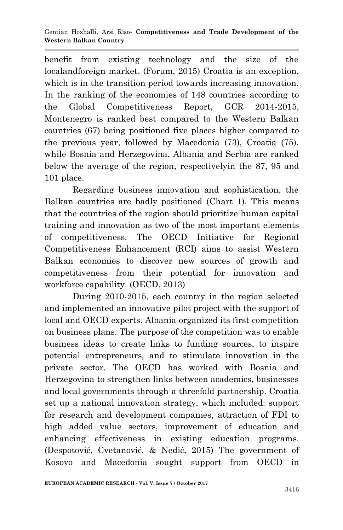benefit from existing technology and the size of the localandforeign market. (Forum, 2015) Croatia is an exception, which is in the transition period towards increasing innovation. In the ranking of the economies of 148 countries according to the Global Competitiveness Report, GCR 2014-2015, Montenegro is ranked best compared to the Western Balkan countries (67) being positioned five places higher compared to the previous year, followed by Macedonia (73), Croatia (75), while Bosnia and Herzegovina, Albania and Serbia are ranked below the average of the region, respectivelyin the 87, 95 and 101 place.

Regarding business innovation and sophistication, the Balkan countries are badly positioned (Chart 1). This means that the countries of the region should prioritize human capital training and innovation as two of the most important elements of competitiveness. The OECD Initiative for Regional Competitiveness Enhancement (RCI) aims to assist Western Balkan economies to discover new sources of growth and competitiveness from their potential for innovation and workforce capability. (OECD, 2013)

During 2010-2015, each country in the region selected and implemented an innovative pilot project with the support of local and OECD experts. Albania organized its first competition on business plans. The purpose of the competition was to enable business ideas to create links to funding sources, to inspire potential entrepreneurs, and to stimulate innovation in the private sector. The OECD has worked with Bosnia and Herzegovina to strengthen links between academics, businesses and local governments through a threefold partnership. Croatia set up a national innovation strategy, which included: support for research and development companies, attraction of FDI to high added value sectors, improvement of education and enhancing effectiveness in existing education programs. (Despotović, Cvetanović, & Nedić, 2015) The government of Kosovo and Macedonia sought support from OECD in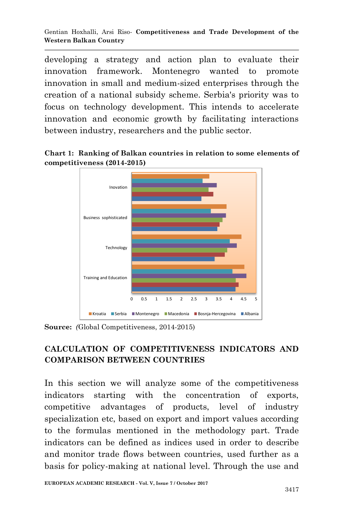Gentian Hoxhalli, Arsi Riso*-* **Competitiveness and Trade Development of the Western Balkan Country**

developing a strategy and action plan to evaluate their innovation framework. Montenegro wanted to promote innovation in small and medium-sized enterprises through the creation of a national subsidy scheme. Serbia's priority was to focus on technology development. This intends to accelerate innovation and economic growth by facilitating interactions between industry, researchers and the public sector.

**Chart 1: Ranking of Balkan countries in relation to some elements of competitiveness (2014-2015)**



**Source:** *(*Global Competitiveness, 2014-2015)

## **CALCULATION OF COMPETITIVENESS INDICATORS AND COMPARISON BETWEEN COUNTRIES**

In this section we will analyze some of the competitiveness indicators starting with the concentration of exports, competitive advantages of products, level of industry specialization etc, based on export and import values according to the formulas mentioned in the methodology part. Trade indicators can be defined as indices used in order to describe and monitor trade flows between countries, used further as a basis for policy-making at national level. Through the use and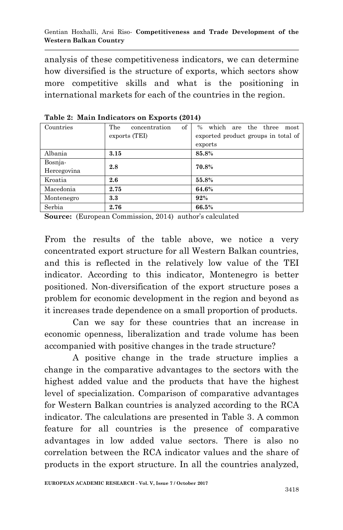analysis of these competitiveness indicators, we can determine how diversified is the structure of exports, which sectors show more competitive skills and what is the positioning in international markets for each of the countries in the region.

| Countries   | of<br>The<br>concentration | % which are the three<br>most       |  |  |  |
|-------------|----------------------------|-------------------------------------|--|--|--|
|             | exports (TEI)              | exported product groups in total of |  |  |  |
|             |                            | exports                             |  |  |  |
| Albania     | 3.15                       | 85.8%                               |  |  |  |
| Bosnja-     | 2.8                        | 70.8%                               |  |  |  |
| Hercegovina |                            |                                     |  |  |  |
| Kroatia     | 2.6                        | 55.8%                               |  |  |  |
| Macedonia   | 2.75                       | 64.6%                               |  |  |  |
| Montenegro  | 3.3                        | 92%                                 |  |  |  |
| Serbia      | 2.76                       | 66.5%                               |  |  |  |

**Table 2: Main Indicators on Exports (2014)**

**Source:** (European Commission, 2014) author's calculated

From the results of the table above, we notice a very concentrated export structure for all Western Balkan countries, and this is reflected in the relatively low value of the TEI indicator. According to this indicator, Montenegro is better positioned. Non-diversification of the export structure poses a problem for economic development in the region and beyond as it increases trade dependence on a small proportion of products.

Can we say for these countries that an increase in economic openness, liberalization and trade volume has been accompanied with positive changes in the trade structure?

A positive change in the trade structure implies a change in the comparative advantages to the sectors with the highest added value and the products that have the highest level of specialization. Comparison of comparative advantages for Western Balkan countries is analyzed according to the RCA indicator. The calculations are presented in Table 3. A common feature for all countries is the presence of comparative advantages in low added value sectors. There is also no correlation between the RCA indicator values and the share of products in the export structure. In all the countries analyzed,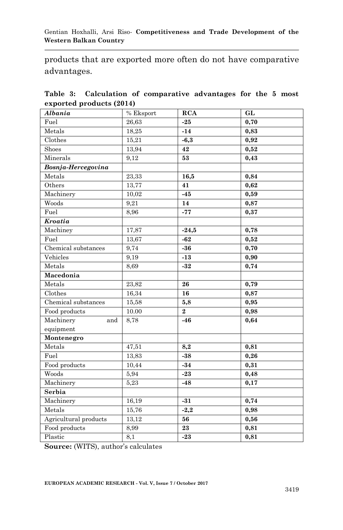products that are exported more often do not have comparative advantages.

|                          |  |  |  | Table 3: Calculation of comparative advantages for the 5 most |  |  |  |  |
|--------------------------|--|--|--|---------------------------------------------------------------|--|--|--|--|
| exported products (2014) |  |  |  |                                                               |  |  |  |  |

| Albania               | % Eksport | <b>RCA</b>     | GL   |
|-----------------------|-----------|----------------|------|
| Fuel                  | 26,63     | $-25$          | 0,70 |
| Metals                | 18,25     | $-14$          | 0,83 |
| Clothes               | 15,21     | $-6,3$         | 0,92 |
| Shoes                 | 13,94     | 42             | 0,52 |
| Minerals              | 9,12      | 53             | 0,43 |
| Bosnja-Hercegovina    |           |                |      |
| Metals                | 23,33     | 16,5           | 0,84 |
| Others                | 13,77     | 41             | 0,62 |
| Machinery             | 10,02     | $-45$          | 0,59 |
| Woods                 | 9,21      | 14             | 0,87 |
| Fuel                  | 8,96      | $-77$          | 0,37 |
| <b>Kroatia</b>        |           |                |      |
| Machiney              | 17,87     | $-24,5$        | 0,78 |
| Fuel                  | 13,67     | $-62$          | 0,52 |
| Chemical substances   | 9,74      | $-36$          | 0,70 |
| Vehicles              | 9,19      | $-13$          | 0,90 |
| Metals                | 8.69      | $-32$          | 0,74 |
| Macedonia             |           |                |      |
| Metals                | 23,82     | 26             | 0,79 |
| Clothes               | 16,34     | 16             | 0,87 |
| Chemical substances   | 15,58     | 5,8            | 0,95 |
| Food products         | 10.00     | $\overline{2}$ | 0,98 |
| Machinery<br>and      | 8,78      | $-46$          | 0,64 |
| equipment             |           |                |      |
| Montenegro            |           |                |      |
| Metals                | 47,51     | 8,2            | 0,81 |
| Fuel                  | 13,83     | $-38$          | 0,26 |
| Food products         | 10,44     | $-34$          | 0,31 |
| Woods                 | 5,94      | $-23$          | 0,48 |
| Machinery             | 5,23      | $-48$          | 0,17 |
| Serbia                |           |                |      |
| Machinery             | 16,19     | $-31$          | 0,74 |
| Metals                | 15,76     | $-2,2$         | 0,98 |
| Agricultural products | 13,12     | 56             | 0,56 |
| Food products         | 8,99      | 23             | 0,81 |
| Plastic               | 8,1       | $-23$          | 0,81 |

**Source:** (WITS), author's calculates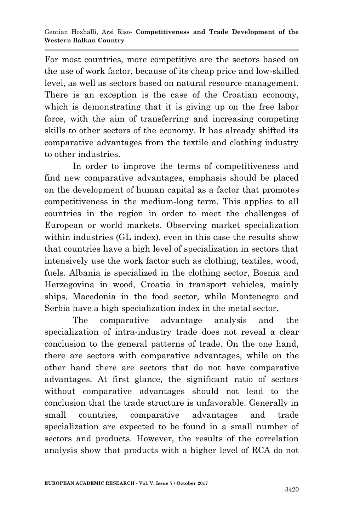For most countries, more competitive are the sectors based on the use of work factor, because of its cheap price and low-skilled level, as well as sectors based on natural resource management. There is an exception is the case of the Croatian economy, which is demonstrating that it is giving up on the free labor force, with the aim of transferring and increasing competing skills to other sectors of the economy. It has already shifted its comparative advantages from the textile and clothing industry to other industries.

In order to improve the terms of competitiveness and find new comparative advantages, emphasis should be placed on the development of human capital as a factor that promotes competitiveness in the medium-long term. This applies to all countries in the region in order to meet the challenges of European or world markets. Observing market specialization within industries (GL index), even in this case the results show that countries have a high level of specialization in sectors that intensively use the work factor such as clothing, textiles, wood, fuels. Albania is specialized in the clothing sector, Bosnia and Herzegovina in wood, Croatia in transport vehicles, mainly ships, Macedonia in the food sector, while Montenegro and Serbia have a high specialization index in the metal sector.

The comparative advantage analysis and the specialization of intra-industry trade does not reveal a clear conclusion to the general patterns of trade. On the one hand, there are sectors with comparative advantages, while on the other hand there are sectors that do not have comparative advantages. At first glance, the significant ratio of sectors without comparative advantages should not lead to the conclusion that the trade structure is unfavorable. Generally in small countries, comparative advantages and trade specialization are expected to be found in a small number of sectors and products. However, the results of the correlation analysis show that products with a higher level of RCA do not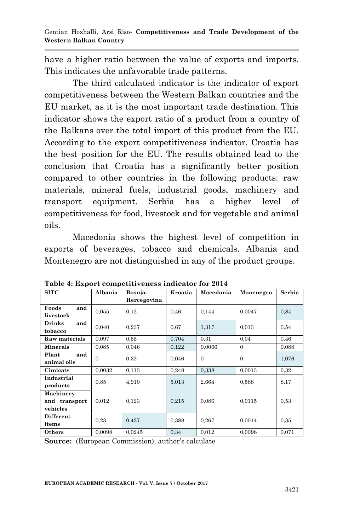have a higher ratio between the value of exports and imports. This indicates the unfavorable trade patterns.

The third calculated indicator is the indicator of export competitiveness between the Western Balkan countries and the EU market, as it is the most important trade destination. This indicator shows the export ratio of a product from a country of the Balkans over the total import of this product from the EU. According to the export competitiveness indicator, Croatia has the best position for the EU. The results obtained lead to the conclusion that Croatia has a significantly better position compared to other countries in the following products: raw materials, mineral fuels, industrial goods, machinery and transport equipment. Serbia has a higher level of competitiveness for food, livestock and for vegetable and animal oils.

Macedonia shows the highest level of competition in exports of beverages, tobacco and chemicals. Albania and Montenegro are not distinguished in any of the product groups.

| <b>SITC</b>                            | Albania  | Bosnja-     | Kroatia | Macedonia | Monenegro | Serbia |
|----------------------------------------|----------|-------------|---------|-----------|-----------|--------|
|                                        |          | Hercegovina |         |           |           |        |
| Foods<br>and<br>livestock              | 0,055    | 0,12        | 0,46    | 0,144     | 0,0047    | 0,84   |
| <b>Drinks</b><br>and<br>tobacco        | 0,040    | 0,237       | 0.67    | 1,317     | 0.013     | 0,54   |
| Raw materials                          | 0,097    | 0,55        | 0,704   | 0.31      | 0,04      | 0,46   |
| Minerals                               | 0,085    | 0.046       | 0,122   | 0.0066    | $\Omega$  | 0.088  |
| and<br>Plant<br>animal oils            | $\Omega$ | 0.32        | 0.046   | $\Omega$  | $\Omega$  | 1,076  |
| Cimicats                               | 0,0032   | 0,113       | 0,248   | 0,338     | 0.0013    | 0,32   |
| Industrial<br>products                 | 0.85     | 4.910       | 5,013   | 2,664     | 0,588     | 8,17   |
| Machinery<br>and transport<br>vehicles | 0,012    | 0,123       | 0,215   | 0,086     | 0,0115    | 0.53   |
| <b>Different</b><br>items              | 0.23     | 0,437       | 0,388   | 0,267     | 0,0014    | 0,35   |
| Others                                 | 0,0098   | 0,0245      | 0.34    | 0,012     | 0,0098    | 0,071  |

**Table 4: Export competitiveness indicator for 2014**

**Source:** (European Commission), author's calculate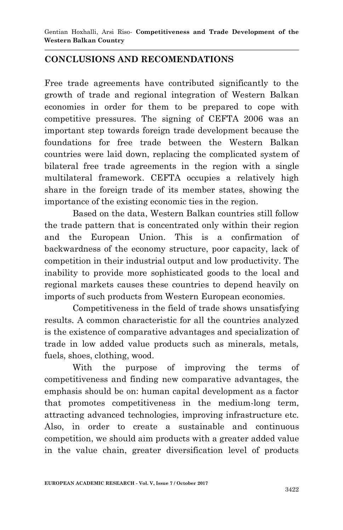# **CONCLUSIONS AND RECOMENDATIONS**

Free trade agreements have contributed significantly to the growth of trade and regional integration of Western Balkan economies in order for them to be prepared to cope with competitive pressures. The signing of CEFTA 2006 was an important step towards foreign trade development because the foundations for free trade between the Western Balkan countries were laid down, replacing the complicated system of bilateral free trade agreements in the region with a single multilateral framework. CEFTA occupies a relatively high share in the foreign trade of its member states, showing the importance of the existing economic ties in the region.

Based on the data, Western Balkan countries still follow the trade pattern that is concentrated only within their region and the European Union. This is a confirmation of backwardness of the economy structure, poor capacity, lack of competition in their industrial output and low productivity. The inability to provide more sophisticated goods to the local and regional markets causes these countries to depend heavily on imports of such products from Western European economies.

Competitiveness in the field of trade shows unsatisfying results. A common characteristic for all the countries analyzed is the existence of comparative advantages and specialization of trade in low added value products such as minerals, metals, fuels, shoes, clothing, wood.

With the purpose of improving the terms of competitiveness and finding new comparative advantages, the emphasis should be on: human capital development as a factor that promotes competitiveness in the medium-long term, attracting advanced technologies, improving infrastructure etc. Also, in order to create a sustainable and continuous competition, we should aim products with a greater added value in the value chain, greater diversification level of products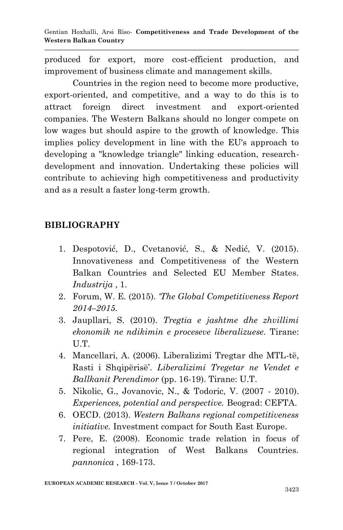Gentian Hoxhalli, Arsi Riso*-* **Competitiveness and Trade Development of the Western Balkan Country**

produced for export, more cost-efficient production, and improvement of business climate and management skills.

Countries in the region need to become more productive, export-oriented, and competitive, and a way to do this is to attract foreign direct investment and export-oriented companies. The Western Balkans should no longer compete on low wages but should aspire to the growth of knowledge. This implies policy development in line with the EU's approach to developing a "knowledge triangle" linking education, researchdevelopment and innovation. Undertaking these policies will contribute to achieving high competitiveness and productivity and as a result a faster long-term growth.

### **BIBLIOGRAPHY**

- 1. Despotović, D., Cvetanović, S., & Nedić, V. (2015). Innovativeness and Competitiveness of the Western Balkan Countries and Selected EU Member States. *Industrija* , 1.
- 2. Forum, W. E. (2015). *'The Global Competitiveness Report 2014–2015.*
- 3. Jaupllari, S. (2010). *Tregtia e jashtme dhe zhvillimi ekonomik ne ndikimin e proceseve liberalizuese.* Tirane: U.T.
- 4. Mancellari, A. (2006). Liberalizimi Tregtar dhe MTL-të, Rasti i Shqipërisë'. *Liberalizimi Tregetar ne Vendet e Ballkanit Perendimor* (pp. 16-19). Tirane: U.T.
- 5. Nikolic, G., Jovanovic, N., & Todoric, V. (2007 2010). *Experiences, potential and perspective.* Beograd: CEFTA.
- 6. OECD. (2013). *Western Balkans regional competitiveness initiative.* Investment compact for South East Europe.
- 7. Pere, E. (2008). Economic trade relation in focus of regional integration of West Balkans Countries. *pannonica* , 169-173.